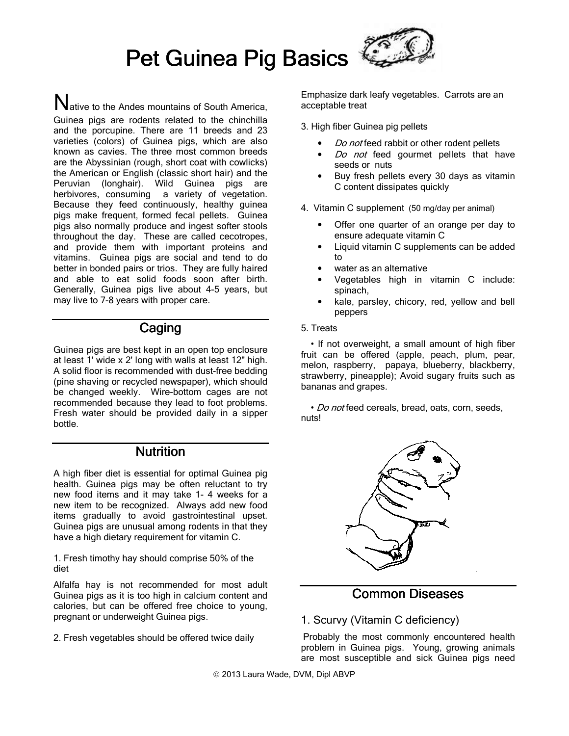

 $\mathbf N$ ative to the Andes mountains of South America, Guinea pigs are rodents related to the chinchilla and the porcupine. There are 11 breeds and 23 varieties (colors) of Guinea pigs, which are also known as cavies. The three most common breeds are the Abyssinian (rough, short coat with cowlicks) the American or English (classic short hair) and the Peruvian (longhair). Wild Guinea pigs are herbivores, consuming a variety of vegetation. Because they feed continuously, healthy guinea pigs make frequent, formed fecal pellets. Guinea pigs also normally produce and ingest softer stools throughout the day. These are called cecotropes, and provide them with important proteins and vitamins. Guinea pigs are social and tend to do better in bonded pairs or trios. They are fully haired and able to eat solid foods soon after birth. Generally, Guinea pigs live about 4-5 years, but may live to 7-8 years with proper care.

# Caging

Guinea pigs are best kept in an open top enclosure at least 1' wide x 2' long with walls at least 12" high. A solid floor is recommended with dust-free bedding (pine shaving or recycled newspaper), which should be changed weekly. Wire-bottom cages are not recommended because they lead to foot problems. Fresh water should be provided daily in a sipper bottle.

## **Nutrition**

A high fiber diet is essential for optimal Guinea pig health. Guinea pigs may be often reluctant to try new food items and it may take 1- 4 weeks for a new item to be recognized. Always add new food items gradually to avoid gastrointestinal upset. Guinea pigs are unusual among rodents in that they have a high dietary requirement for vitamin C.

1. Fresh timothy hay should comprise 50% of the diet

Alfalfa hay is not recommended for most adult Guinea pigs as it is too high in calcium content and calories, but can be offered free choice to young, pregnant or underweight Guinea pigs.

2. Fresh vegetables should be offered twice daily

Emphasize dark leafy vegetables. Carrots are an acceptable treat

3. High fiber Guinea pig pellets

- Do not feed rabbit or other rodent pellets
- Do not feed gourmet pellets that have seeds or nuts
- Buy fresh pellets every 30 days as vitamin C content dissipates quickly

4. Vitamin C supplement (50 mg/day per animal)

- Offer one quarter of an orange per day to ensure adequate vitamin C
- Liquid vitamin C supplements can be added to
- water as an alternative
- Vegetables high in vitamin C include: spinach,
- kale, parsley, chicory, red, yellow and bell peppers

#### 5. Treats

 • If not overweight, a small amount of high fiber fruit can be offered (apple, peach, plum, pear, melon, raspberry, papaya, blueberry, blackberry, strawberry, pineapple); Avoid sugary fruits such as bananas and grapes.

• Do not feed cereals, bread, oats, corn, seeds, nuts!



# Common Diseases

### 1. Scurvy (Vitamin C deficiency)

Probably the most commonly encountered health problem in Guinea pigs. Young, growing animals are most susceptible and sick Guinea pigs need